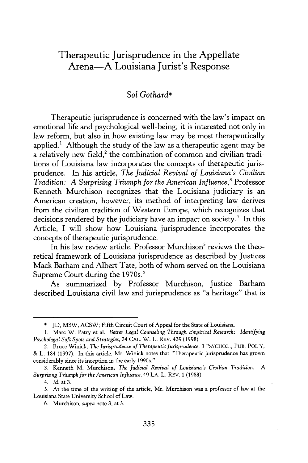## Therapeutic Jurisprudence in the Appellate Arena-A Louisiana Jurist's Response

## *Sol Gothard\**

Therapeutic jurisprudence is concerned with the law's impact on emotional life and psychological well-being; it is interested not only in law reform, but also in how existing law may be most therapeutically applied.' Although the study of the law as a therapeutic agent may be a relatively new field, $2$  the combination of common and civilian traditions of Louisiana law incorporates the concepts of therapeutic jurisprudence. In his article, *The Judicial Revival of Louisiana's Civilian Tradition: A Surprising Triumph for the American Influence,3* Professor Kenneth Murchison recognizes that the Louisiana judiciary is an American creation, however, its method of interpreting law derives from the civilian tradition of Western Europe, which recognizes that decisions rendered by the judiciary have an impact on society.<sup>4</sup> In this Article, I will show how Louisiana jurisprudence incorporates the concepts of therapeutic jurisprudence.

In his law review article, Professor Murchison<sup>5</sup> reviews the theoretical framework of Louisiana jurisprudence as described by Justices Mack Barham and Albert Tate, both of whom served on the Louisiana Supreme Court during the 1970s.<sup>6</sup>

As summarized by Professor Murchison, Justice Barham described Louisiana civil law and jurisprudence as "a heritage" that is

6. Murchison, *supra* note 3, at 5.

<sup>\*</sup> JD, MSW, ACSW; Fifth Circuit Court of Appeal for the State of Louisiana.

<sup>1.</sup> Marc W. Patry et al., *Better Legal Counseling Through Empirical Research: Identifying Psycholegal Soft Spots and Strategies,* 34 CAL. W. L. REV. 439 (1998).

<sup>2.</sup> Bruce Winick, *The Jurisprudence of Therapeutic Jurisprudence,* 3 PSYCHOL., PUB. POL'Y, & L. 184 (1997). In this article, Mr. Winick notes that "Therapeutic jurisprudence has grown considerably since its inception in the early 1990s."

<sup>3.</sup> Kenneth M. Murchison, *The Judicial Revival of Louisiana's Civilian Tradition: A Surprising Triumph for the American Influence,* 49 LA. L. REV. 1 (1988).

<sup>4.</sup> Id. at 3.

<sup>5.</sup> At the time of the writing of the article, Mr. Murchison was a professor of law at the Louisiana State University School of Law.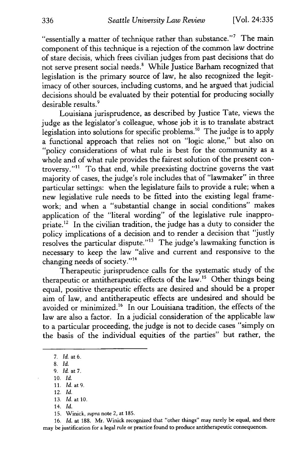"essentially a matter of technique rather than substance."<sup>7</sup> The main component of this technique is a rejection of the common law doctrine of stare decisis, which frees civilian judges from past decisions that do not serve present social needs.' While Justice Barham recognized that legislation is the primary source of law, he also recognized the legitimacy of other sources, including customs, and he argued that judicial decisions should be evaluated by their potential for producing socially desirable results.<sup>9</sup>

Louisiana jurisprudence, as described by Justice Tate, views the judge as the legislator's colleague, whose job it is to translate abstract legislation into solutions for specific problems."° The judge is to apply a functional approach that relies not on "logic alone," but also on "policy considerations of what rule is best for the community as a whole and of what rule provides the fairest solution of the present controversy."<sup>11</sup> To that end, while preexisting doctrine governs the vast majority of cases, the judge's role includes that of "lawmaker" in three particular settings: when the legislature fails to provide a rule; when a new legislative rule needs to be fitted into the existing legal framework; and when a "substantial change in social conditions" makes application of the "literal wording" of the legislative rule inappropriate.<sup>12</sup> In the civilian tradition, the judge has a duty to consider the policy implications of a decision and to render a decision that "justly resolves the particular dispute."<sup>13</sup> The judge's lawmaking function is necessary to keep the law "alive and current and responsive to the changing needs of society."<sup>14</sup>

Therapeutic jurisprudence calls for the systematic study of the therapeutic or antitherapeutic effects of the law.<sup>15</sup> Other things being equal, positive therapeutic effects are desired and should be a proper aim of law, and antitherapeutic effects are undesired and should be avoided or minimized.<sup>16</sup> In our Louisiana tradition, the effects of the law are also a factor. In a judicial consideration of the applicable law to a particular proceeding, the judge is not to decide cases "simply on the basis of the individual equities of the parties" but rather, the

- 10. *Id.*
- 11. *Id.* at 9. 12. *Id.*
- 13. *Id. at* **10.**

16. *Id.* at 188. Mr. Winick recognized that "other things" may rarely be equal, and there may be justification for a legal rule or practice found to produce antitherapeutic consequences.

*<sup>7.</sup> Id.* at 6.

<sup>8.</sup> *Id.*

<sup>9.</sup> *Id.* at 7.

<sup>14.</sup> *Id.*

<sup>15.</sup> Winick, *supra* note 2, at 185.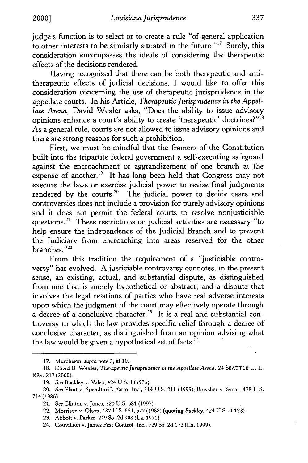judge's function is to select or to create a rule "of general application to other interests to be similarly situated in the future."<sup>17</sup> Surely, this consideration encompasses the ideals of considering the therapeutic effects of the decisions rendered.

Having recognized that there can be both therapeutic and antitherapeutic effects of judicial decisions, I would like to offer this consideration concerning the use of therapeutic jurisprudence in the appellate courts. In his Article, *Therapeutic Jurisprudence in the Appellate Arena,* David Wexler asks, "Does the ability to issue advisory opinions enhance a court's ability to create 'therapeutic' doctrines?"<sup>18</sup> As a general rule, courts are not allowed to issue advisory opinions and there are strong reasons for such a prohibition.

First, we must be mindful that the framers of the Constitution built into the tripartite federal government a self-executing safeguard against the encroachment or aggrandizement of one branch at the expense of another.<sup>19</sup> It has long been held that Congress may not execute the laws or exercise judicial power to revise final judgments rendered by the courts.<sup>20</sup> The judicial power to decide cases and controversies does not include a provision for purely advisory opinions and it does not permit the federal courts to resolve nonjusticiable questions."' These restrictions on judicial activities are necessary "to help ensure the independence of the Judicial Branch and to prevent the Judiciary from encroaching into areas reserved for the other branches."<sup>22</sup>

From this tradition the requirement of a "justiciable controversy" has evolved. A justiciable controversy connotes, in the present sense, an existing, actual, and substantial dispute, as distinguished from one that is merely hypothetical or abstract, and a dispute that involves the legal relations of parties who have real adverse interests upon which the judgment of the court may effectively operate through  $\alpha$  decree of a conclusive character.<sup>23</sup> It is a real and substantial controversy to which the law provides specific relief through a decree of conclusive character, as distinguished from an opinion advising what the law would be given a hypothetical set of facts.<sup>24</sup>

<sup>17.</sup> Murchison, *supra* note 3, at 10.

<sup>18.</sup> David B. Wexler, *Therapeutic Jurisprudence in the Appellate Arena,* 24 SEATTLE U. L. REV. 217 (2000).

<sup>19.</sup> *See* Buckley v. Valeo, 424 U.S. 1 (1976).

*<sup>20.</sup> See* Plaut v. Spendthrift Farm, Inc., 514 U.S. 211 (1995); Bowsher v. Synar, 478 U.S. 714 (1986).

*<sup>21.</sup> See* Clinton v. Jones, 520 U.S. 681 (1997).

<sup>22.</sup> Morrison v. Olson, 487 U.S. 654, 677 (1988) (quoting *Buckley,* 424 U.S. at 123).

<sup>23.</sup> Abbott v. Parker, 249 So. 2d 908 (La. 1971).

<sup>24.</sup> Couvillion v. James Pest Control, Inc., 729 So. 2d 172 (La. 1999).